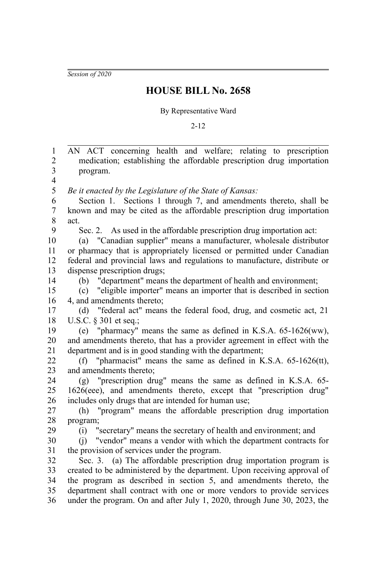*Session of 2020*

## **HOUSE BILL No. 2658**

## By Representative Ward

2-12

AN ACT concerning health and welfare; relating to prescription medication; establishing the affordable prescription drug importation program. *Be it enacted by the Legislature of the State of Kansas:* Section 1. Sections 1 through 7, and amendments thereto, shall be known and may be cited as the affordable prescription drug importation act. Sec. 2. As used in the affordable prescription drug importation act: (a) "Canadian supplier" means a manufacturer, wholesale distributor or pharmacy that is appropriately licensed or permitted under Canadian federal and provincial laws and regulations to manufacture, distribute or dispense prescription drugs; (b) "department" means the department of health and environment; (c) "eligible importer" means an importer that is described in section 4, and amendments thereto; (d) "federal act" means the federal food, drug, and cosmetic act, 21 U.S.C. § 301 et seq.; (e) "pharmacy" means the same as defined in K.S.A. 65-1626(ww), and amendments thereto, that has a provider agreement in effect with the department and is in good standing with the department; (f) "pharmacist" means the same as defined in K.S.A. 65-1626(tt), and amendments thereto; (g) "prescription drug" means the same as defined in K.S.A. 65- 1626(eee), and amendments thereto, except that "prescription drug" includes only drugs that are intended for human use; (h) "program" means the affordable prescription drug importation program; (i) "secretary" means the secretary of health and environment; and (j) "vendor" means a vendor with which the department contracts for the provision of services under the program. Sec. 3. (a) The affordable prescription drug importation program is created to be administered by the department. Upon receiving approval of the program as described in section 5, and amendments thereto, the department shall contract with one or more vendors to provide services under the program. On and after July 1, 2020, through June 30, 2023, the 1 2 3 4 5 6 7 8 9 10 11 12 13 14 15 16 17 18 19 20 21 22  $23$ 24 25 26 27 28 29 30 31 32 33 34 35 36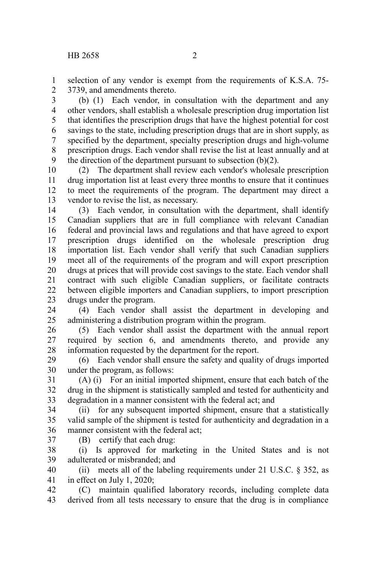selection of any vendor is exempt from the requirements of K.S.A. 75- 3739, and amendments thereto. 1 2

(b) (1) Each vendor, in consultation with the department and any other vendors, shall establish a wholesale prescription drug importation list that identifies the prescription drugs that have the highest potential for cost savings to the state, including prescription drugs that are in short supply, as specified by the department, specialty prescription drugs and high-volume prescription drugs. Each vendor shall revise the list at least annually and at the direction of the department pursuant to subsection  $(b)(2)$ . 3 4 5 6 7 8 9

(2) The department shall review each vendor's wholesale prescription drug importation list at least every three months to ensure that it continues to meet the requirements of the program. The department may direct a vendor to revise the list, as necessary. 10 11 12 13

(3) Each vendor, in consultation with the department, shall identify Canadian suppliers that are in full compliance with relevant Canadian federal and provincial laws and regulations and that have agreed to export prescription drugs identified on the wholesale prescription drug importation list. Each vendor shall verify that such Canadian suppliers meet all of the requirements of the program and will export prescription drugs at prices that will provide cost savings to the state. Each vendor shall contract with such eligible Canadian suppliers, or facilitate contracts between eligible importers and Canadian suppliers, to import prescription drugs under the program. 14 15 16 17 18 19 20 21 22 23

(4) Each vendor shall assist the department in developing and administering a distribution program within the program. 24 25

(5) Each vendor shall assist the department with the annual report required by section 6, and amendments thereto, and provide any information requested by the department for the report. 26 27 28

(6) Each vendor shall ensure the safety and quality of drugs imported under the program, as follows: 29 30

(A) (i) For an initial imported shipment, ensure that each batch of the drug in the shipment is statistically sampled and tested for authenticity and degradation in a manner consistent with the federal act; and 31 32 33

(ii) for any subsequent imported shipment, ensure that a statistically valid sample of the shipment is tested for authenticity and degradation in a manner consistent with the federal act; 34 35 36

37

(B) certify that each drug:

(i) Is approved for marketing in the United States and is not adulterated or misbranded; and 38 39

(ii) meets all of the labeling requirements under 21 U.S.C.  $\S$  352, as in effect on July 1, 2020; 40 41

(C) maintain qualified laboratory records, including complete data derived from all tests necessary to ensure that the drug is in compliance 42 43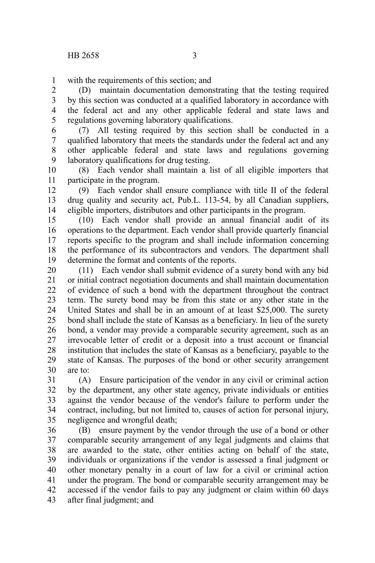with the requirements of this section; and 1

(D) maintain documentation demonstrating that the testing required by this section was conducted at a qualified laboratory in accordance with the federal act and any other applicable federal and state laws and regulations governing laboratory qualifications. 2 3 4 5

(7) All testing required by this section shall be conducted in a qualified laboratory that meets the standards under the federal act and any other applicable federal and state laws and regulations governing laboratory qualifications for drug testing. 6 7 8 9

(8) Each vendor shall maintain a list of all eligible importers that participate in the program. 10 11

(9) Each vendor shall ensure compliance with title II of the federal drug quality and security act, Pub.L. 113-54, by all Canadian suppliers, eligible importers, distributors and other participants in the program. 12 13 14

(10) Each vendor shall provide an annual financial audit of its operations to the department. Each vendor shall provide quarterly financial reports specific to the program and shall include information concerning the performance of its subcontractors and vendors. The department shall determine the format and contents of the reports. 15 16 17 18 19

(11) Each vendor shall submit evidence of a surety bond with any bid or initial contract negotiation documents and shall maintain documentation of evidence of such a bond with the department throughout the contract term. The surety bond may be from this state or any other state in the United States and shall be in an amount of at least \$25,000. The surety bond shall include the state of Kansas as a beneficiary. In lieu of the surety bond, a vendor may provide a comparable security agreement, such as an irrevocable letter of credit or a deposit into a trust account or financial institution that includes the state of Kansas as a beneficiary, payable to the state of Kansas. The purposes of the bond or other security arrangement are to: 20 21 22 23 24 25 26 27 28 29 30

(A) Ensure participation of the vendor in any civil or criminal action by the department, any other state agency, private individuals or entities against the vendor because of the vendor's failure to perform under the contract, including, but not limited to, causes of action for personal injury, negligence and wrongful death; 31 32 33 34 35

(B) ensure payment by the vendor through the use of a bond or other comparable security arrangement of any legal judgments and claims that are awarded to the state, other entities acting on behalf of the state, individuals or organizations if the vendor is assessed a final judgment or other monetary penalty in a court of law for a civil or criminal action under the program. The bond or comparable security arrangement may be accessed if the vendor fails to pay any judgment or claim within 60 days after final judgment; and 36 37 38 39 40 41 42 43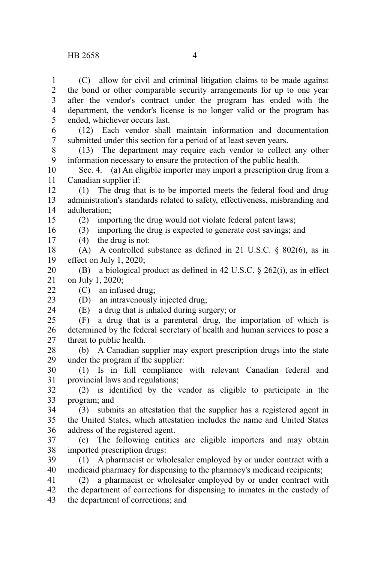(C) allow for civil and criminal litigation claims to be made against the bond or other comparable security arrangements for up to one year after the vendor's contract under the program has ended with the department, the vendor's license is no longer valid or the program has ended, whichever occurs last. 1 2 3 4 5

(12) Each vendor shall maintain information and documentation submitted under this section for a period of at least seven years. 6 7

(13) The department may require each vendor to collect any other information necessary to ensure the protection of the public health. 8 9

Sec. 4. (a) An eligible importer may import a prescription drug from a Canadian supplier if: 10 11

(1) The drug that is to be imported meets the federal food and drug administration's standards related to safety, effectiveness, misbranding and adulteration; 12 13 14

(2) importing the drug would not violate federal patent laws;

(3) importing the drug is expected to generate cost savings; and

(4) the drug is not: 17

(A) A controlled substance as defined in 21 U.S.C. § 802(6), as in effect on July 1, 2020; 18 19

(B) a biological product as defined in 42 U.S.C. § 262(i), as in effect on July 1, 2020; 20 21

(C) an infused drug;

22 23 24

15 16

> (D) an intravenously injected drug; (E) a drug that is inhaled during surgery; or

(F) a drug that is a parenteral drug, the importation of which is determined by the federal secretary of health and human services to pose a threat to public health. 25 26 27

(b) A Canadian supplier may export prescription drugs into the state under the program if the supplier: 28 29

(1) Is in full compliance with relevant Canadian federal and provincial laws and regulations; 30 31

(2) is identified by the vendor as eligible to participate in the program; and 32 33

(3) submits an attestation that the supplier has a registered agent in the United States, which attestation includes the name and United States address of the registered agent. 34 35 36

(c) The following entities are eligible importers and may obtain imported prescription drugs: 37 38

(1) A pharmacist or wholesaler employed by or under contract with a medicaid pharmacy for dispensing to the pharmacy's medicaid recipients; 39 40

(2) a pharmacist or wholesaler employed by or under contract with the department of corrections for dispensing to inmates in the custody of the department of corrections; and 41 42 43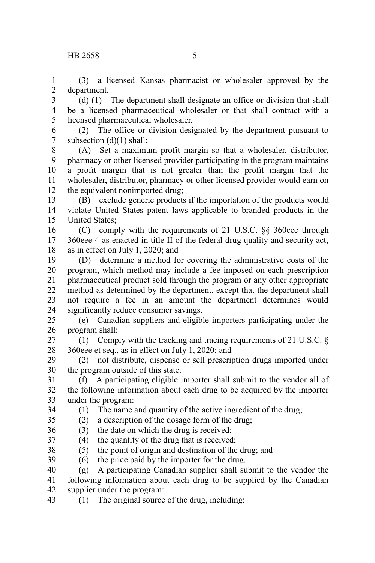(3) a licensed Kansas pharmacist or wholesaler approved by the department. 1 2

(d) (1) The department shall designate an office or division that shall be a licensed pharmaceutical wholesaler or that shall contract with a licensed pharmaceutical wholesaler. 3 4 5

(2) The office or division designated by the department pursuant to subsection (d)(1) shall: 6 7

(A) Set a maximum profit margin so that a wholesaler, distributor, pharmacy or other licensed provider participating in the program maintains a profit margin that is not greater than the profit margin that the wholesaler, distributor, pharmacy or other licensed provider would earn on the equivalent nonimported drug; 8 9 10 11 12

(B) exclude generic products if the importation of the products would violate United States patent laws applicable to branded products in the United States; 13 14 15

(C) comply with the requirements of 21 U.S.C. §§ 360eee through 360eee-4 as enacted in title II of the federal drug quality and security act, as in effect on July 1, 2020; and 16 17 18

(D) determine a method for covering the administrative costs of the program, which method may include a fee imposed on each prescription pharmaceutical product sold through the program or any other appropriate method as determined by the department, except that the department shall not require a fee in an amount the department determines would significantly reduce consumer savings. 19 20 21 22 23 24

(e) Canadian suppliers and eligible importers participating under the program shall: 25 26

(1) Comply with the tracking and tracing requirements of 21 U.S.C. § 360eee et seq., as in effect on July 1, 2020; and 27 28

(2) not distribute, dispense or sell prescription drugs imported under the program outside of this state. 29 30

(f) A participating eligible importer shall submit to the vendor all of the following information about each drug to be acquired by the importer under the program: 31 32 33

(1) The name and quantity of the active ingredient of the drug; (2) a description of the dosage form of the drug;

34 35

 $(3)$  the date on which the drug is received; 36

(4) the quantity of the drug that is received; 37

(5) the point of origin and destination of the drug; and 38

(6) the price paid by the importer for the drug. 39

(g) A participating Canadian supplier shall submit to the vendor the following information about each drug to be supplied by the Canadian supplier under the program: 40 41 42

(1) The original source of the drug, including: 43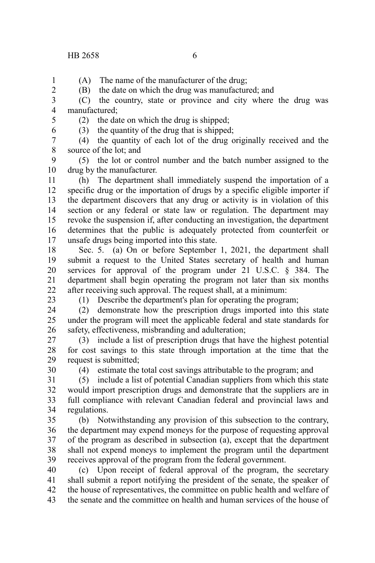(A) The name of the manufacturer of the drug; 2

(B) the date on which the drug was manufactured; and

(C) the country, state or province and city where the drug was manufactured; 3 4

5 6

1

(2) the date on which the drug is shipped;

(3) the quantity of the drug that is shipped;

(4) the quantity of each lot of the drug originally received and the source of the lot; and 7 8

(5) the lot or control number and the batch number assigned to the drug by the manufacturer. 9 10

(h) The department shall immediately suspend the importation of a specific drug or the importation of drugs by a specific eligible importer if the department discovers that any drug or activity is in violation of this section or any federal or state law or regulation. The department may revoke the suspension if, after conducting an investigation, the department determines that the public is adequately protected from counterfeit or unsafe drugs being imported into this state. 11 12 13 14 15 16 17

Sec. 5. (a) On or before September 1, 2021, the department shall submit a request to the United States secretary of health and human services for approval of the program under 21 U.S.C. § 384. The department shall begin operating the program not later than six months after receiving such approval. The request shall, at a minimum: 18 19 20 21 22

23

30

(1) Describe the department's plan for operating the program;

(2) demonstrate how the prescription drugs imported into this state under the program will meet the applicable federal and state standards for safety, effectiveness, misbranding and adulteration; 24 25 26

(3) include a list of prescription drugs that have the highest potential for cost savings to this state through importation at the time that the request is submitted; 27 28 29

(4) estimate the total cost savings attributable to the program; and

(5) include a list of potential Canadian suppliers from which this state would import prescription drugs and demonstrate that the suppliers are in full compliance with relevant Canadian federal and provincial laws and regulations. 31 32 33 34

(b) Notwithstanding any provision of this subsection to the contrary, the department may expend moneys for the purpose of requesting approval of the program as described in subsection (a), except that the department shall not expend moneys to implement the program until the department receives approval of the program from the federal government. 35 36 37 38 39

(c) Upon receipt of federal approval of the program, the secretary shall submit a report notifying the president of the senate, the speaker of the house of representatives, the committee on public health and welfare of the senate and the committee on health and human services of the house of 40 41 42 43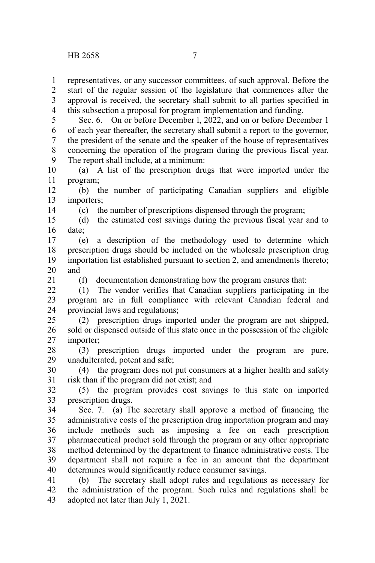14

21

representatives, or any successor committees, of such approval. Before the start of the regular session of the legislature that commences after the approval is received, the secretary shall submit to all parties specified in this subsection a proposal for program implementation and funding. 1 2 3 4

Sec. 6. On or before December l, 2022, and on or before December 1 of each year thereafter, the secretary shall submit a report to the governor, the president of the senate and the speaker of the house of representatives concerning the operation of the program during the previous fiscal year. The report shall include, at a minimum: 5 6 7 8 9

(a) A list of the prescription drugs that were imported under the program; 10 11

(b) the number of participating Canadian suppliers and eligible importers; 12 13

(c) the number of prescriptions dispensed through the program;

(d) the estimated cost savings during the previous fiscal year and to date; 15 16

(e) a description of the methodology used to determine which prescription drugs should be included on the wholesale prescription drug importation list established pursuant to section 2, and amendments thereto; and 17 18 19 20

(f) documentation demonstrating how the program ensures that:

(1) The vendor verifies that Canadian suppliers participating in the program are in full compliance with relevant Canadian federal and provincial laws and regulations;  $22$ 23 24

(2) prescription drugs imported under the program are not shipped, sold or dispensed outside of this state once in the possession of the eligible importer; 25 26 27

(3) prescription drugs imported under the program are pure, unadulterated, potent and safe; 28 29

(4) the program does not put consumers at a higher health and safety risk than if the program did not exist; and 30 31

(5) the program provides cost savings to this state on imported prescription drugs. 32 33

Sec. 7. (a) The secretary shall approve a method of financing the administrative costs of the prescription drug importation program and may include methods such as imposing a fee on each prescription pharmaceutical product sold through the program or any other appropriate method determined by the department to finance administrative costs. The department shall not require a fee in an amount that the department determines would significantly reduce consumer savings. 34 35 36 37 38 39 40

(b) The secretary shall adopt rules and regulations as necessary for the administration of the program. Such rules and regulations shall be adopted not later than July 1, 2021. 41 42 43